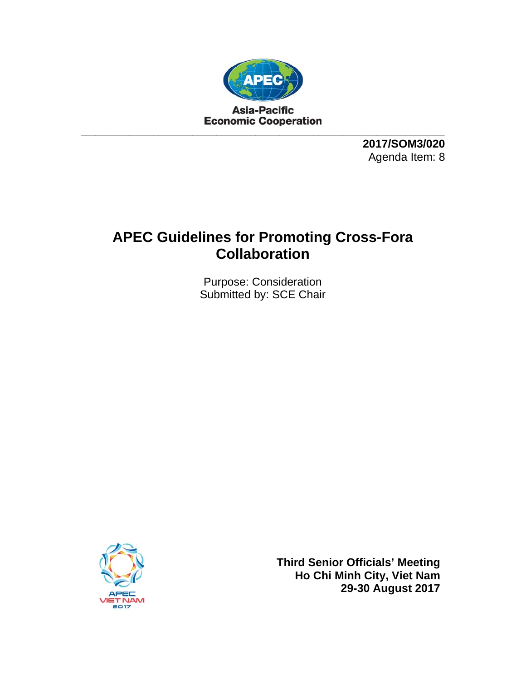

**2017/SOM3/020**  Agenda Item: 8

# **APEC Guidelines for Promoting Cross-Fora Collaboration**

Purpose: Consideration Submitted by: SCE Chair



**Third Senior Officials' Meeting Ho Chi Minh City, Viet Nam 29-30 August 2017**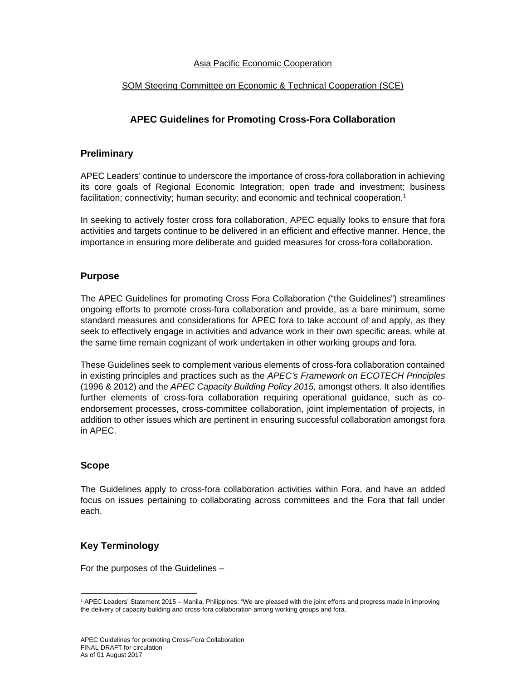#### Asia Pacific Economic Cooperation

#### SOM Steering Committee on Economic & Technical Cooperation (SCE)

# **APEC Guidelines for Promoting Cross-Fora Collaboration**

#### **Preliminary**

APEC Leaders' continue to underscore the importance of cross-fora collaboration in achieving its core goals of Regional Economic Integration; open trade and investment; business facilitation; connectivity; human security; and economic and technical cooperation.<sup>1</sup>

In seeking to actively foster cross fora collaboration, APEC equally looks to ensure that fora activities and targets continue to be delivered in an efficient and effective manner. Hence, the importance in ensuring more deliberate and guided measures for cross-fora collaboration.

#### **Purpose**

The APEC Guidelines for promoting Cross Fora Collaboration ("the Guidelines") streamlines ongoing efforts to promote cross-fora collaboration and provide, as a bare minimum, some standard measures and considerations for APEC fora to take account of and apply, as they seek to effectively engage in activities and advance work in their own specific areas, while at the same time remain cognizant of work undertaken in other working groups and fora.

These Guidelines seek to complement various elements of cross-fora collaboration contained in existing principles and practices such as the *APEC's Framework on ECOTECH Principles* (1996 & 2012) and the *APEC Capacity Building Policy 2015,* amongst others. It also identifies further elements of cross-fora collaboration requiring operational guidance, such as coendorsement processes, cross-committee collaboration, joint implementation of projects, in addition to other issues which are pertinent in ensuring successful collaboration amongst fora in APEC.

#### **Scope**

The Guidelines apply to cross-fora collaboration activities within Fora, and have an added focus on issues pertaining to collaborating across committees and the Fora that fall under each.

## **Key Terminology**

For the purposes of the Guidelines –

<sup>-</sup><sup>1</sup> APEC Leaders' Statement 2015 – Manila, Philippines: "We are pleased with the joint efforts and progress made in improving the delivery of capacity building and cross-fora collaboration among working groups and fora.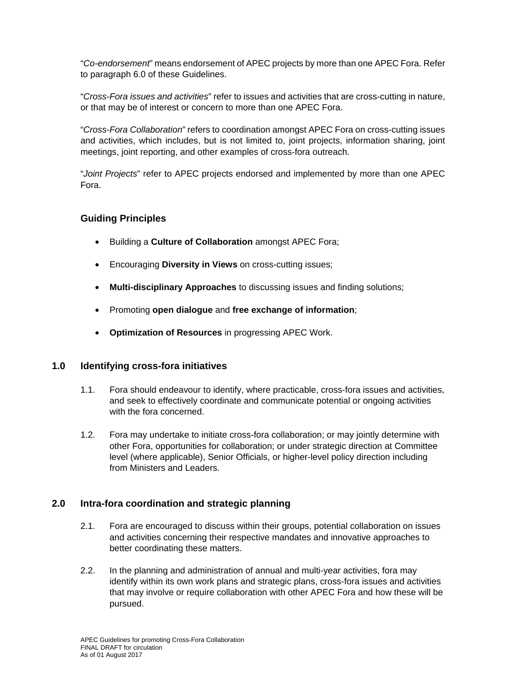"*Co-endorsement*" means endorsement of APEC projects by more than one APEC Fora. Refer to paragraph 6.0 of these Guidelines.

"*Cross-Fora issues and activities*" refer to issues and activities that are cross-cutting in nature, or that may be of interest or concern to more than one APEC Fora.

"*Cross-Fora Collaboration*" refers to coordination amongst APEC Fora on cross-cutting issues and activities, which includes, but is not limited to, joint projects, information sharing, joint meetings, joint reporting, and other examples of cross-fora outreach.

"*Joint Projects*" refer to APEC projects endorsed and implemented by more than one APEC Fora.

## **Guiding Principles**

- Building a **Culture of Collaboration** amongst APEC Fora;
- Encouraging **Diversity in Views** on cross-cutting issues;
- **Multi-disciplinary Approaches** to discussing issues and finding solutions;
- Promoting **open dialogue** and **free exchange of information**;
- **Optimization of Resources** in progressing APEC Work.

## **1.0 Identifying cross-fora initiatives**

- 1.1. Fora should endeavour to identify, where practicable, cross-fora issues and activities, and seek to effectively coordinate and communicate potential or ongoing activities with the fora concerned
- 1.2. Fora may undertake to initiate cross-fora collaboration; or may jointly determine with other Fora, opportunities for collaboration; or under strategic direction at Committee level (where applicable), Senior Officials, or higher-level policy direction including from Ministers and Leaders.

# **2.0 Intra-fora coordination and strategic planning**

- 2.1. Fora are encouraged to discuss within their groups, potential collaboration on issues and activities concerning their respective mandates and innovative approaches to better coordinating these matters.
- 2.2. In the planning and administration of annual and multi-year activities, fora may identify within its own work plans and strategic plans, cross-fora issues and activities that may involve or require collaboration with other APEC Fora and how these will be pursued.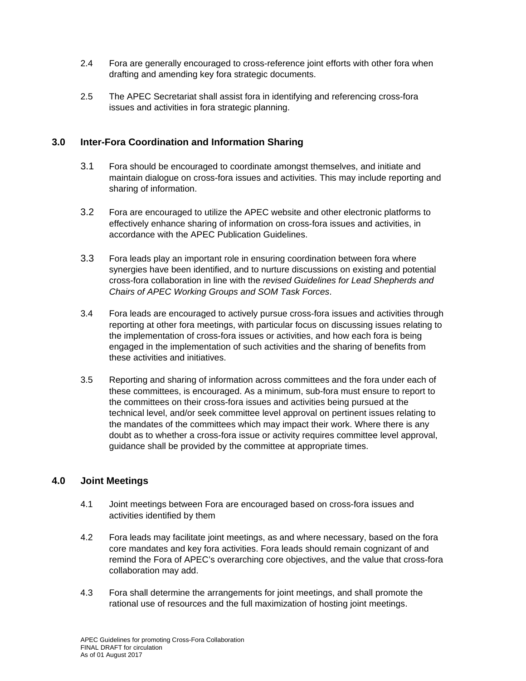- 2.4 Fora are generally encouraged to cross-reference joint efforts with other fora when drafting and amending key fora strategic documents.
- 2.5 The APEC Secretariat shall assist fora in identifying and referencing cross-fora issues and activities in fora strategic planning.

## **3.0 Inter-Fora Coordination and Information Sharing**

- 3.1 Fora should be encouraged to coordinate amongst themselves, and initiate and maintain dialogue on cross-fora issues and activities. This may include reporting and sharing of information.
- 3.2 Fora are encouraged to utilize the APEC website and other electronic platforms to effectively enhance sharing of information on cross-fora issues and activities, in accordance with the APEC Publication Guidelines.
- 3.3 Fora leads play an important role in ensuring coordination between fora where synergies have been identified, and to nurture discussions on existing and potential cross-fora collaboration in line with the *revised Guidelines for Lead Shepherds and Chairs of APEC Working Groups and SOM Task Forces*.
- 3.4 Fora leads are encouraged to actively pursue cross-fora issues and activities through reporting at other fora meetings, with particular focus on discussing issues relating to the implementation of cross-fora issues or activities, and how each fora is being engaged in the implementation of such activities and the sharing of benefits from these activities and initiatives.
- 3.5 Reporting and sharing of information across committees and the fora under each of these committees, is encouraged. As a minimum, sub-fora must ensure to report to the committees on their cross-fora issues and activities being pursued at the technical level, and/or seek committee level approval on pertinent issues relating to the mandates of the committees which may impact their work. Where there is any doubt as to whether a cross-fora issue or activity requires committee level approval, guidance shall be provided by the committee at appropriate times.

# **4.0 Joint Meetings**

- 4.1 Joint meetings between Fora are encouraged based on cross-fora issues and activities identified by them
- 4.2 Fora leads may facilitate joint meetings, as and where necessary, based on the fora core mandates and key fora activities. Fora leads should remain cognizant of and remind the Fora of APEC's overarching core objectives, and the value that cross-fora collaboration may add.
- 4.3 Fora shall determine the arrangements for joint meetings, and shall promote the rational use of resources and the full maximization of hosting joint meetings.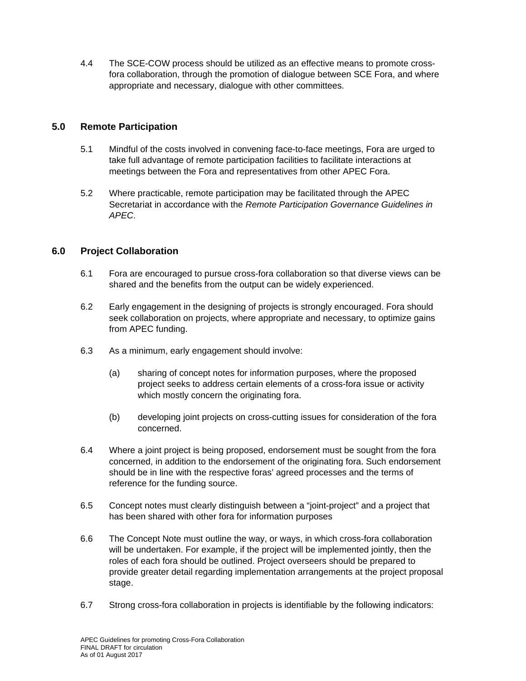4.4 The SCE-COW process should be utilized as an effective means to promote crossfora collaboration, through the promotion of dialogue between SCE Fora, and where appropriate and necessary, dialogue with other committees.

## **5.0 Remote Participation**

- 5.1 Mindful of the costs involved in convening face-to-face meetings, Fora are urged to take full advantage of remote participation facilities to facilitate interactions at meetings between the Fora and representatives from other APEC Fora.
- 5.2 Where practicable, remote participation may be facilitated through the APEC Secretariat in accordance with the *Remote Participation Governance Guidelines in APEC*.

# **6.0 Project Collaboration**

- 6.1 Fora are encouraged to pursue cross-fora collaboration so that diverse views can be shared and the benefits from the output can be widely experienced.
- 6.2 Early engagement in the designing of projects is strongly encouraged. Fora should seek collaboration on projects, where appropriate and necessary, to optimize gains from APEC funding.
- 6.3 As a minimum, early engagement should involve:
	- (a) sharing of concept notes for information purposes, where the proposed project seeks to address certain elements of a cross-fora issue or activity which mostly concern the originating fora.
	- (b) developing joint projects on cross-cutting issues for consideration of the fora concerned.
- 6.4 Where a joint project is being proposed, endorsement must be sought from the fora concerned, in addition to the endorsement of the originating fora. Such endorsement should be in line with the respective foras' agreed processes and the terms of reference for the funding source.
- 6.5 Concept notes must clearly distinguish between a "joint-project" and a project that has been shared with other fora for information purposes
- 6.6 The Concept Note must outline the way, or ways, in which cross-fora collaboration will be undertaken. For example, if the project will be implemented jointly, then the roles of each fora should be outlined. Project overseers should be prepared to provide greater detail regarding implementation arrangements at the project proposal stage.
- 6.7 Strong cross-fora collaboration in projects is identifiable by the following indicators: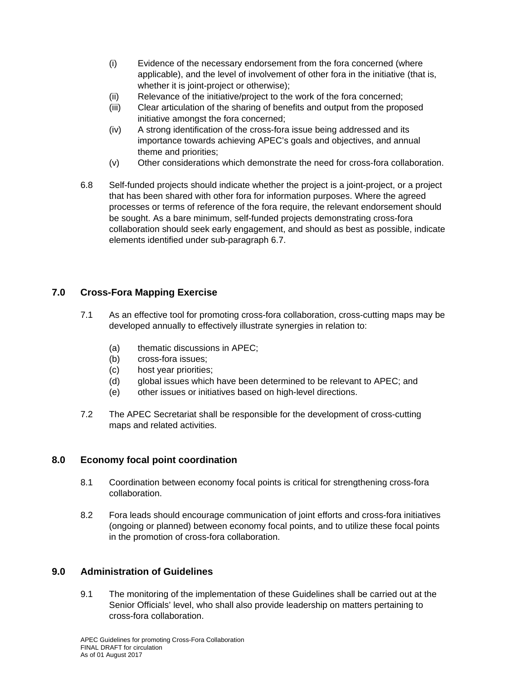- (i) Evidence of the necessary endorsement from the fora concerned (where applicable), and the level of involvement of other fora in the initiative (that is, whether it is joint-project or otherwise);
- (ii) Relevance of the initiative/project to the work of the fora concerned;
- (iii) Clear articulation of the sharing of benefits and output from the proposed initiative amongst the fora concerned;
- (iv) A strong identification of the cross-fora issue being addressed and its importance towards achieving APEC's goals and objectives, and annual theme and priorities;
- (v) Other considerations which demonstrate the need for cross-fora collaboration.
- 6.8 Self-funded projects should indicate whether the project is a joint-project, or a project that has been shared with other fora for information purposes. Where the agreed processes or terms of reference of the fora require, the relevant endorsement should be sought. As a bare minimum, self-funded projects demonstrating cross-fora collaboration should seek early engagement, and should as best as possible, indicate elements identified under sub-paragraph 6.7.

# **7.0 Cross-Fora Mapping Exercise**

- 7.1 As an effective tool for promoting cross-fora collaboration, cross-cutting maps may be developed annually to effectively illustrate synergies in relation to:
	- (a) thematic discussions in APEC;
	- (b) cross-fora issues;
	- (c) host year priorities;
	- (d) global issues which have been determined to be relevant to APEC; and
	- (e) other issues or initiatives based on high-level directions.
- 7.2 The APEC Secretariat shall be responsible for the development of cross-cutting maps and related activities.

## **8.0 Economy focal point coordination**

- 8.1 Coordination between economy focal points is critical for strengthening cross-fora collaboration.
- 8.2 Fora leads should encourage communication of joint efforts and cross-fora initiatives (ongoing or planned) between economy focal points, and to utilize these focal points in the promotion of cross-fora collaboration.

## **9.0 Administration of Guidelines**

9.1 The monitoring of the implementation of these Guidelines shall be carried out at the Senior Officials' level, who shall also provide leadership on matters pertaining to cross-fora collaboration.